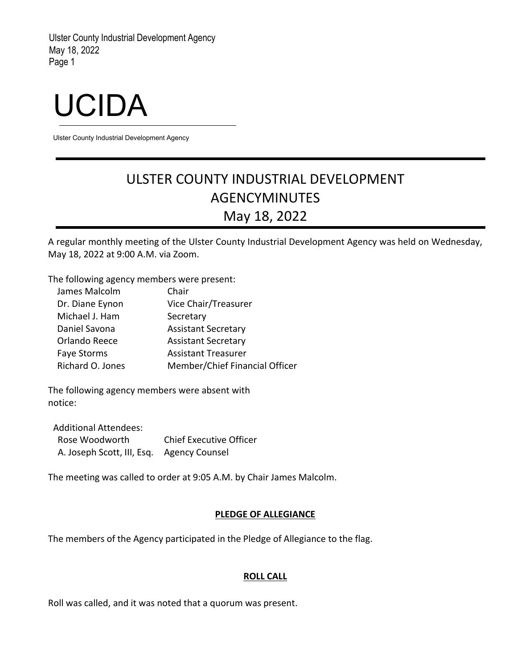# UCIDA

Ulster County Industrial Development Agency

# ULSTER COUNTY INDUSTRIAL DEVELOPMENT AGENCYMINUTES May 18, 2022

A regular monthly meeting of the Ulster County Industrial Development Agency was held on Wednesday, May 18, 2022 at 9:00 A.M. via Zoom.

The following agency members were present:

| James Malcolm      | Chair                          |
|--------------------|--------------------------------|
| Dr. Diane Eynon    | Vice Chair/Treasurer           |
| Michael J. Ham     | Secretary                      |
| Daniel Savona      | <b>Assistant Secretary</b>     |
| Orlando Reece      | <b>Assistant Secretary</b>     |
| <b>Faye Storms</b> | <b>Assistant Treasurer</b>     |
| Richard O. Jones   | Member/Chief Financial Officer |

The following agency members were absent with notice:

Additional Attendees: Rose Woodworth Chief Executive Officer A. Joseph Scott, III, Esq. Agency Counsel

The meeting was called to order at 9:05 A.M. by Chair James Malcolm.

# **PLEDGE OF ALLEGIANCE**

The members of the Agency participated in the Pledge of Allegiance to the flag.

# **ROLL CALL**

Roll was called, and it was noted that a quorum was present.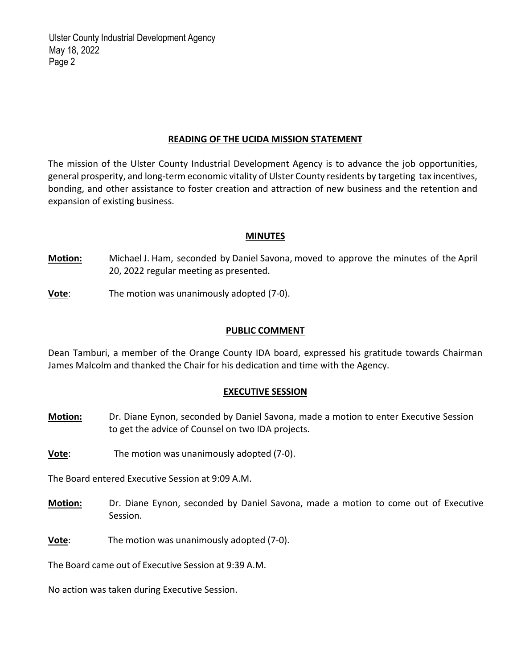#### **READING OF THE UCIDA MISSION STATEMENT**

The mission of the Ulster County Industrial Development Agency is to advance the job opportunities, general prosperity, and long-term economic vitality of Ulster County residents by targeting tax incentives, bonding, and other assistance to foster creation and attraction of new business and the retention and expansion of existing business.

#### **MINUTES**

**Motion:** Michael J. Ham, seconded by Daniel Savona, moved to approve the minutes of the April 20, 2022 regular meeting as presented.

**Vote**: The motion was unanimously adopted (7‐0).

#### **PUBLIC COMMENT**

Dean Tamburi, a member of the Orange County IDA board, expressed his gratitude towards Chairman James Malcolm and thanked the Chair for his dedication and time with the Agency.

# **EXECUTIVE SESSION**

- **Motion:** Dr. Diane Eynon, seconded by Daniel Savona, made a motion to enter Executive Session to get the advice of Counsel on two IDA projects.
- **Vote:** The motion was unanimously adopted (7-0).

The Board entered Executive Session at 9:09 A.M.

- **Motion:** Dr. Diane Eynon, seconded by Daniel Savona, made a motion to come out of Executive Session.
- **Vote**: The motion was unanimously adopted (7‐0).

The Board came out of Executive Session at 9:39 A.M.

No action was taken during Executive Session.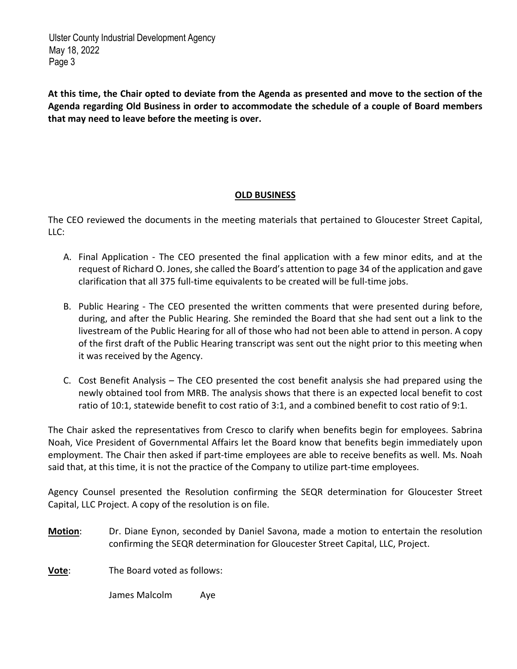At this time, the Chair opted to deviate from the Agenda as presented and move to the section of the **Agenda regarding Old Business in order to accommodate the schedule of a couple of Board members that may need to leave before the meeting is over.**

# **OLD BUSINESS**

The CEO reviewed the documents in the meeting materials that pertained to Gloucester Street Capital, LLC:

- A. Final Application The CEO presented the final application with a few minor edits, and at the request of Richard O. Jones, she called the Board's attention to page 34 of the application and gave clarification that all 375 full‐time equivalents to be created will be full‐time jobs.
- B. Public Hearing The CEO presented the written comments that were presented during before, during, and after the Public Hearing. She reminded the Board that she had sent out a link to the livestream of the Public Hearing for all of those who had not been able to attend in person. A copy of the first draft of the Public Hearing transcript was sent out the night prior to this meeting when it was received by the Agency.
- C. Cost Benefit Analysis The CEO presented the cost benefit analysis she had prepared using the newly obtained tool from MRB. The analysis shows that there is an expected local benefit to cost ratio of 10:1, statewide benefit to cost ratio of 3:1, and a combined benefit to cost ratio of 9:1.

The Chair asked the representatives from Cresco to clarify when benefits begin for employees. Sabrina Noah, Vice President of Governmental Affairs let the Board know that benefits begin immediately upon employment. The Chair then asked if part-time employees are able to receive benefits as well. Ms. Noah said that, at this time, it is not the practice of the Company to utilize part-time employees.

Agency Counsel presented the Resolution confirming the SEQR determination for Gloucester Street Capital, LLC Project. A copy of the resolution is on file.

**Motion**: Dr. Diane Eynon, seconded by Daniel Savona, made a motion to entertain the resolution confirming the SEQR determination for Gloucester Street Capital, LLC, Project.

**Vote**: The Board voted as follows:

James Malcolm Aye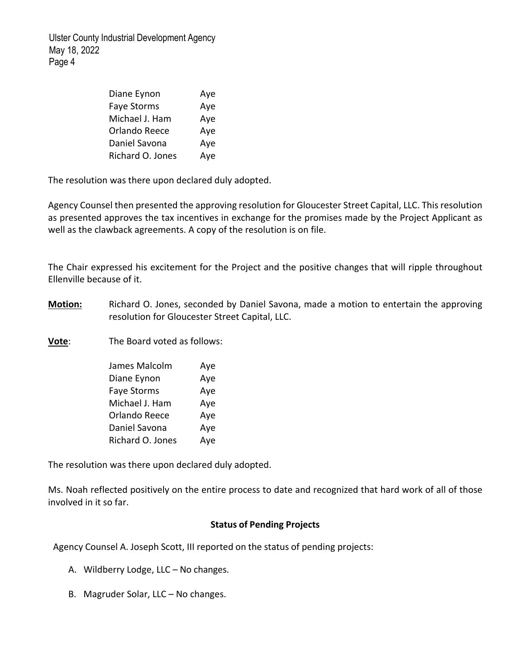| Diane Eynon        | Aye |
|--------------------|-----|
| <b>Faye Storms</b> | Aye |
| Michael J. Ham     | Aye |
| Orlando Reece      | Aye |
| Daniel Savona      | Aye |
| Richard O. Jones   | Aye |

The resolution was there upon declared duly adopted.

Agency Counsel then presented the approving resolution for Gloucester Street Capital, LLC. This resolution as presented approves the tax incentives in exchange for the promises made by the Project Applicant as well as the clawback agreements. A copy of the resolution is on file.

The Chair expressed his excitement for the Project and the positive changes that will ripple throughout Ellenville because of it.

**Motion:** Richard O. Jones, seconded by Daniel Savona, made a motion to entertain the approving resolution for Gloucester Street Capital, LLC.

**Vote**: The Board voted as follows:

| James Malcolm      | Aye |
|--------------------|-----|
| Diane Eynon        | Aye |
| <b>Faye Storms</b> | Aye |
| Michael J. Ham     | Aye |
| Orlando Reece      | Aye |
| Daniel Savona      | Aye |
| Richard O. Jones   | Aye |

The resolution was there upon declared duly adopted.

Ms. Noah reflected positively on the entire process to date and recognized that hard work of all of those involved in it so far.

# **Status of Pending Projects**

Agency Counsel A. Joseph Scott, III reported on the status of pending projects:

- A. Wildberry Lodge, LLC No changes.
- B. Magruder Solar, LLC No changes.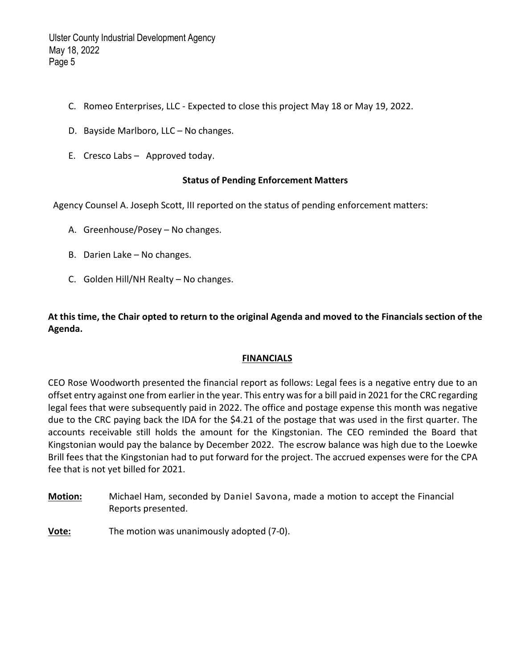- C. Romeo Enterprises, LLC ‐ Expected to close this project May 18 or May 19, 2022.
- D. Bayside Marlboro, LLC No changes.
- E. Cresco Labs Approved today.

#### **Status of Pending Enforcement Matters**

Agency Counsel A. Joseph Scott, III reported on the status of pending enforcement matters:

- A. Greenhouse/Posey No changes.
- B. Darien Lake No changes.
- C. Golden Hill/NH Realty No changes.

At this time, the Chair opted to return to the original Agenda and moved to the Financials section of the **Agenda.** 

# **FINANCIALS**

CEO Rose Woodworth presented the financial report as follows: Legal fees is a negative entry due to an offset entry against one from earlier in the year. This entry wasfor a bill paid in 2021 for the CRC regarding legal fees that were subsequently paid in 2022. The office and postage expense this month was negative due to the CRC paying back the IDA for the \$4.21 of the postage that was used in the first quarter. The accounts receivable still holds the amount for the Kingstonian. The CEO reminded the Board that Kingstonian would pay the balance by December 2022. The escrow balance was high due to the Loewke Brill fees that the Kingstonian had to put forward for the project. The accrued expenses were for the CPA fee that is not yet billed for 2021.

- **Motion:** Michael Ham, seconded by Daniel Savona, made a motion to accept the Financial Reports presented.
- **Vote:** The motion was unanimously adopted (7‐0).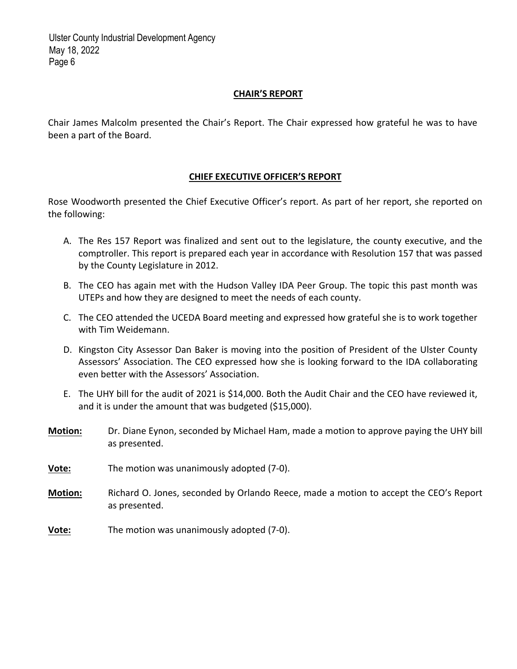# **CHAIR'S REPORT**

Chair James Malcolm presented the Chair's Report. The Chair expressed how grateful he was to have been a part of the Board.

# **CHIEF EXECUTIVE OFFICER'S REPORT**

Rose Woodworth presented the Chief Executive Officer's report. As part of her report, she reported on the following:

- A. The Res 157 Report was finalized and sent out to the legislature, the county executive, and the comptroller. This report is prepared each year in accordance with Resolution 157 that was passed by the County Legislature in 2012.
- B. The CEO has again met with the Hudson Valley IDA Peer Group. The topic this past month was UTEPs and how they are designed to meet the needs of each county.
- C. The CEO attended the UCEDA Board meeting and expressed how grateful she is to work together with Tim Weidemann.
- D. Kingston City Assessor Dan Baker is moving into the position of President of the Ulster County Assessors' Association. The CEO expressed how she is looking forward to the IDA collaborating even better with the Assessors' Association.
- E. The UHY bill for the audit of 2021 is \$14,000. Both the Audit Chair and the CEO have reviewed it, and it is under the amount that was budgeted (\$15,000).
- **Motion:** Dr. Diane Eynon, seconded by Michael Ham, made a motion to approve paying the UHY bill as presented.
- **Vote:** The motion was unanimously adopted (7‐0).
- **Motion:** Richard O. Jones, seconded by Orlando Reece, made a motion to accept the CEO's Report as presented.
- **Vote:** The motion was unanimously adopted (7-0).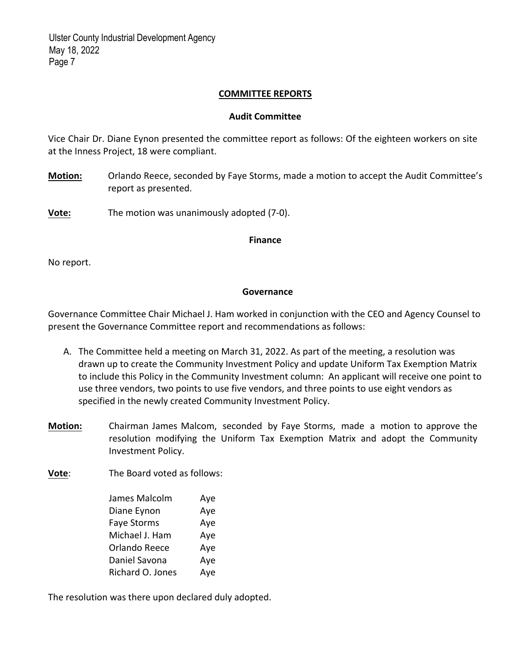# **COMMITTEE REPORTS**

# **Audit Committee**

Vice Chair Dr. Diane Eynon presented the committee report as follows: Of the eighteen workers on site at the Inness Project, 18 were compliant.

**Motion:** Orlando Reece, seconded by Faye Storms, made a motion to accept the Audit Committee's report as presented.

**Vote:** The motion was unanimously adopted (7-0).

#### **Finance**

No report.

# **Governance**

Governance Committee Chair Michael J. Ham worked in conjunction with the CEO and Agency Counsel to present the Governance Committee report and recommendations as follows:

- A. The Committee held a meeting on March 31, 2022. As part of the meeting, a resolution was drawn up to create the Community Investment Policy and update Uniform Tax Exemption Matrix to include this Policy in the Community Investment column: An applicant will receive one point to use three vendors, two points to use five vendors, and three points to use eight vendors as specified in the newly created Community Investment Policy.
- **Motion:**  Chairman James Malcom, seconded by Faye Storms, made a motion to approve the resolution modifying the Uniform Tax Exemption Matrix and adopt the Community Investment Policy.

**Vote**: The Board voted as follows:

| James Malcolm      | Aye |
|--------------------|-----|
| Diane Eynon        | Aye |
| <b>Faye Storms</b> | Aye |
| Michael J. Ham     | Aye |
| Orlando Reece      | Aye |
| Daniel Savona      | Aye |
| Richard O. Jones   | Aye |

The resolution was there upon declared duly adopted.